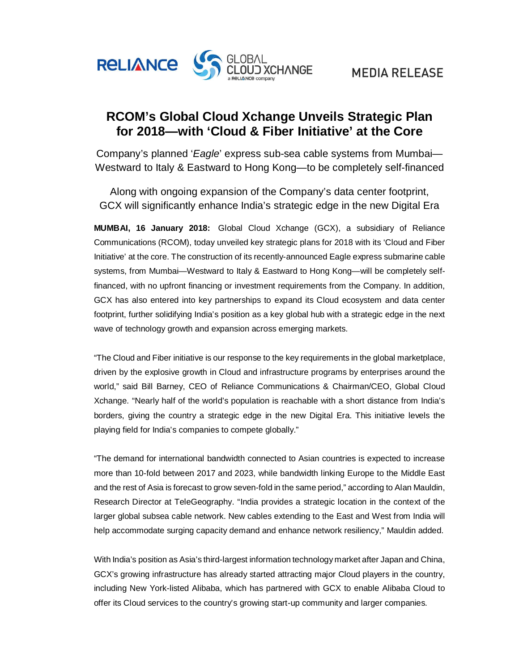

## **RCOM's Global Cloud Xchange Unveils Strategic Plan for 2018—with 'Cloud & Fiber Initiative' at the Core**

Company's planned '*Eagle*' express sub-sea cable systems from Mumbai— Westward to Italy & Eastward to Hong Kong—to be completely self-financed

Along with ongoing expansion of the Company's data center footprint, GCX will significantly enhance India's strategic edge in the new Digital Era

**MUMBAI, 16 January 2018:** Global Cloud Xchange (GCX), a subsidiary of Reliance Communications (RCOM), today unveiled key strategic plans for 2018 with its 'Cloud and Fiber Initiative' at the core. The construction of its recently-announced Eagle express submarine cable systems, from Mumbai—Westward to Italy & Eastward to Hong Kong—will be completely selffinanced, with no upfront financing or investment requirements from the Company. In addition, GCX has also entered into key partnerships to expand its Cloud ecosystem and data center footprint, further solidifying India's position as a key global hub with a strategic edge in the next wave of technology growth and expansion across emerging markets.

"The Cloud and Fiber initiative is our response to the key requirements in the global marketplace, driven by the explosive growth in Cloud and infrastructure programs by enterprises around the world," said Bill Barney, CEO of Reliance Communications & Chairman/CEO, Global Cloud Xchange. "Nearly half of the world's population is reachable with a short distance from India's borders, giving the country a strategic edge in the new Digital Era. This initiative levels the playing field for India's companies to compete globally."

"The demand for international bandwidth connected to Asian countries is expected to increase more than 10-fold between 2017 and 2023, while bandwidth linking Europe to the Middle East and the rest of Asia is forecast to grow seven-fold in the same period," according to Alan Mauldin, Research Director at TeleGeography. "India provides a strategic location in the context of the larger global subsea cable network. New cables extending to the East and West from India will help accommodate surging capacity demand and enhance network resiliency," Mauldin added.

With India's position as Asia's third-largest information technology market after Japan and China, GCX's growing infrastructure has already started attracting major Cloud players in the country, including New York-listed Alibaba, which has partnered with GCX to enable Alibaba Cloud to offer its Cloud services to the country's growing start-up community and larger companies.